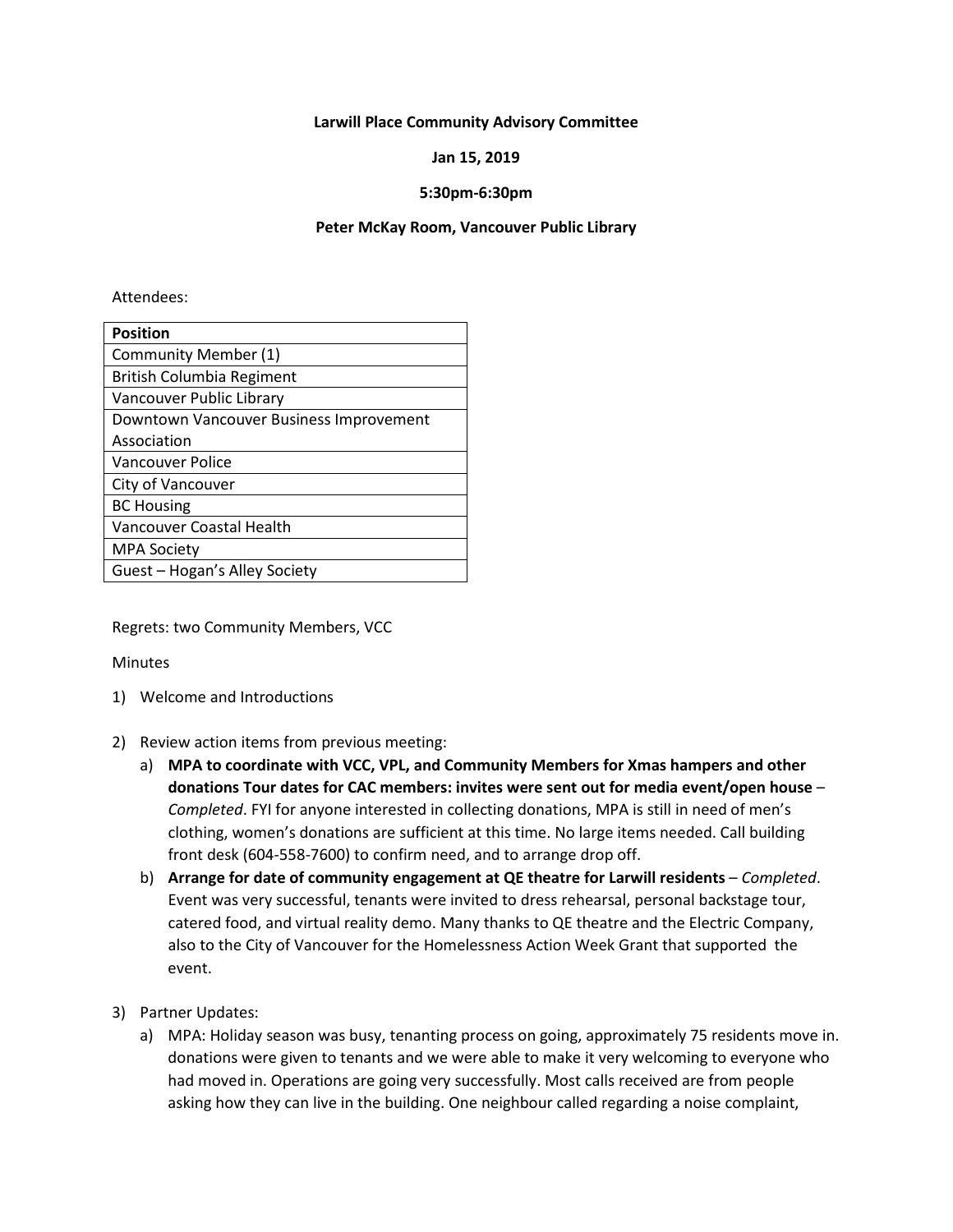#### **Larwill Place Community Advisory Committee**

### **Jan 15, 2019**

## **5:30pm-6:30pm**

#### **Peter McKay Room, Vancouver Public Library**

#### Attendees:

| <b>Position</b>                         |
|-----------------------------------------|
| Community Member (1)                    |
| British Columbia Regiment               |
| Vancouver Public Library                |
| Downtown Vancouver Business Improvement |
| Association                             |
| <b>Vancouver Police</b>                 |
| City of Vancouver                       |
| <b>BC Housing</b>                       |
| Vancouver Coastal Health                |
| <b>MPA Society</b>                      |
| Guest - Hogan's Alley Society           |

Regrets: two Community Members, VCC

**Minutes** 

- 1) Welcome and Introductions
- 2) Review action items from previous meeting:
	- a) **MPA to coordinate with VCC, VPL, and Community Members for Xmas hampers and other donations Tour dates for CAC members: invites were sent out for media event/open house** – *Completed*. FYI for anyone interested in collecting donations, MPA is still in need of men's clothing, women's donations are sufficient at this time. No large items needed. Call building front desk (604-558-7600) to confirm need, and to arrange drop off.
	- b) **Arrange for date of community engagement at QE theatre for Larwill residents** *Completed*. Event was very successful, tenants were invited to dress rehearsal, personal backstage tour, catered food, and virtual reality demo. Many thanks to QE theatre and the Electric Company, also to the City of Vancouver for the Homelessness Action Week Grant that supported the event.
- 3) Partner Updates:
	- a) MPA: Holiday season was busy, tenanting process on going, approximately 75 residents move in. donations were given to tenants and we were able to make it very welcoming to everyone who had moved in. Operations are going very successfully. Most calls received are from people asking how they can live in the building. One neighbour called regarding a noise complaint,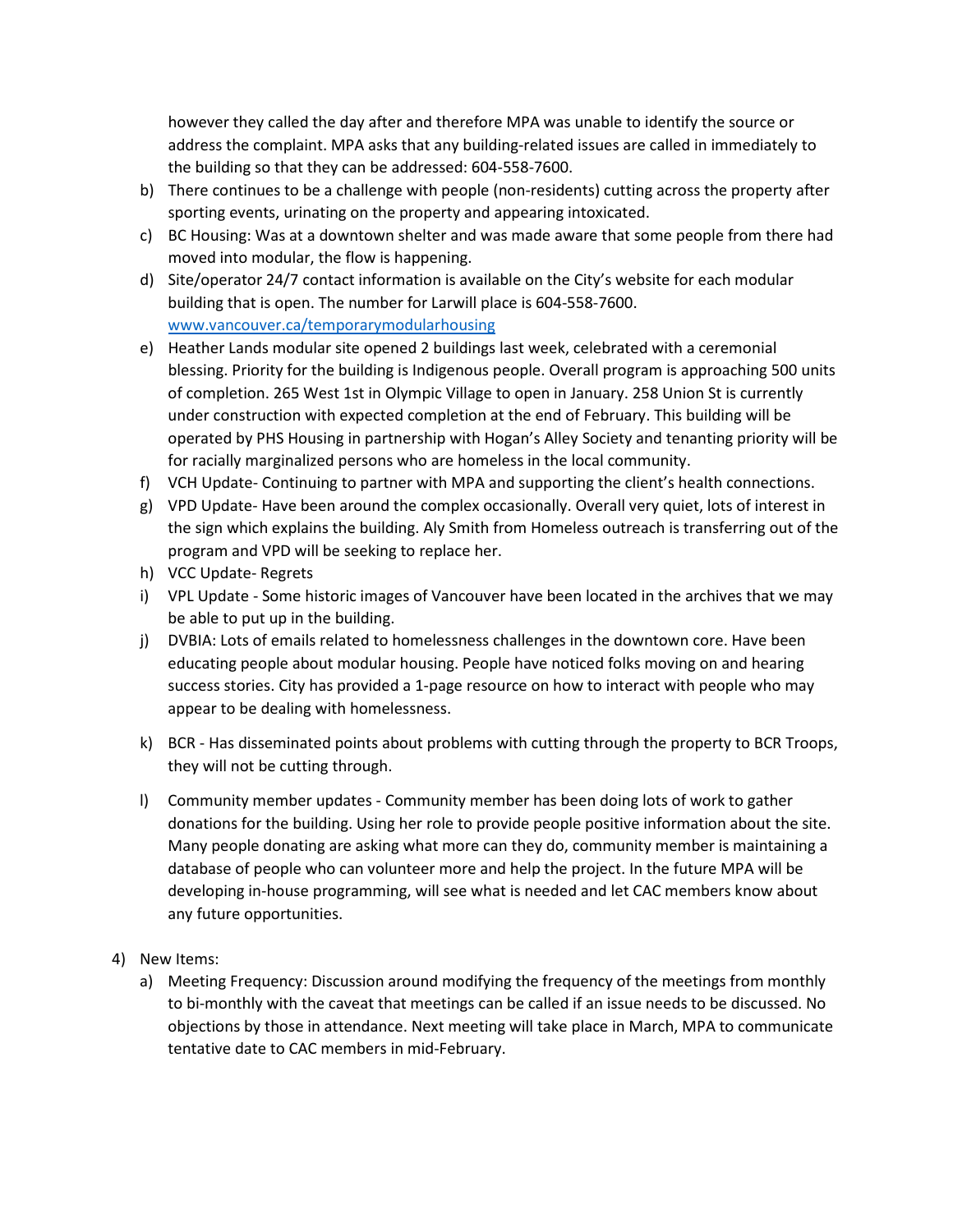however they called the day after and therefore MPA was unable to identify the source or address the complaint. MPA asks that any building-related issues are called in immediately to the building so that they can be addressed: 604-558-7600.

- b) There continues to be a challenge with people (non-residents) cutting across the property after sporting events, urinating on the property and appearing intoxicated.
- c) BC Housing: Was at a downtown shelter and was made aware that some people from there had moved into modular, the flow is happening.
- d) Site/operator 24/7 contact information is available on the City's website for each modular building that is open. The number for Larwill place is 604-558-7600. [www.vancouver.ca/temporarymodularhousing](http://www.vancouver.ca/temporarymodularhousing)
- e) Heather Lands modular site opened 2 buildings last week, celebrated with a ceremonial blessing. Priority for the building is Indigenous people. Overall program is approaching 500 units of completion. 265 West 1st in Olympic Village to open in January. 258 Union St is currently under construction with expected completion at the end of February. This building will be operated by PHS Housing in partnership with Hogan's Alley Society and tenanting priority will be for racially marginalized persons who are homeless in the local community.
- f) VCH Update- Continuing to partner with MPA and supporting the client's health connections.
- g) VPD Update- Have been around the complex occasionally. Overall very quiet, lots of interest in the sign which explains the building. Aly Smith from Homeless outreach is transferring out of the program and VPD will be seeking to replace her.
- h) VCC Update- Regrets
- i) VPL Update Some historic images of Vancouver have been located in the archives that we may be able to put up in the building.
- j) DVBIA: Lots of emails related to homelessness challenges in the downtown core. Have been educating people about modular housing. People have noticed folks moving on and hearing success stories. City has provided a 1-page resource on how to interact with people who may appear to be dealing with homelessness.
- k) BCR Has disseminated points about problems with cutting through the property to BCR Troops, they will not be cutting through.
- l) Community member updates Community member has been doing lots of work to gather donations for the building. Using her role to provide people positive information about the site. Many people donating are asking what more can they do, community member is maintaining a database of people who can volunteer more and help the project. In the future MPA will be developing in-house programming, will see what is needed and let CAC members know about any future opportunities.
- 4) New Items:
	- a) Meeting Frequency: Discussion around modifying the frequency of the meetings from monthly to bi-monthly with the caveat that meetings can be called if an issue needs to be discussed. No objections by those in attendance. Next meeting will take place in March, MPA to communicate tentative date to CAC members in mid-February.